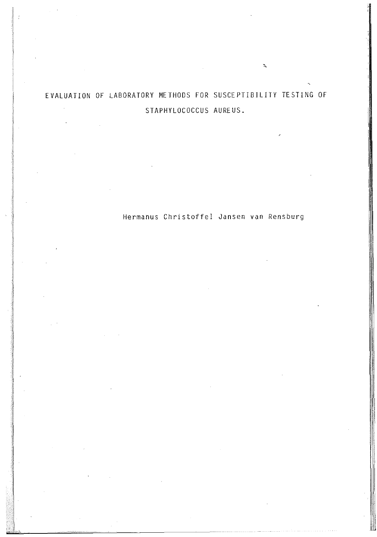# EVALUATION OF LABORATORY METHODS FOR SUSCEPTIBILITY TESTING OF STAPHYLOCOCCUS AUREUS.

de la composición de la composición de la composición de la composición de la composición de la composición de<br>La composición de la composición de la composición de la composición de la composición de la composición de la

1

1

Hermanus Christoffel Jansen van Rensburg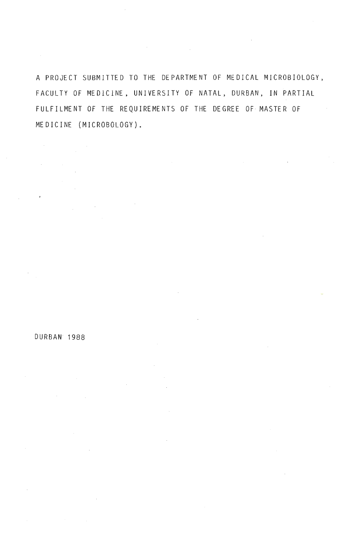A PROJECT SUBMITTED TO THE DEPARTMENT OF MEDICAL MICROBIOLOGY, FACULTY OF MEDICINE, UNIVERSITY OF NATAL, DURBAN, IN PARTIAL FULFILMENT OF THE REQUIREMENTS OF THE DEGREE OF MASTER OF MEDICINE (MICROBOLOGY).

### DURBAN 1988

 $\sim$   $\sim$ 

 $\hat{\boldsymbol{\epsilon}}$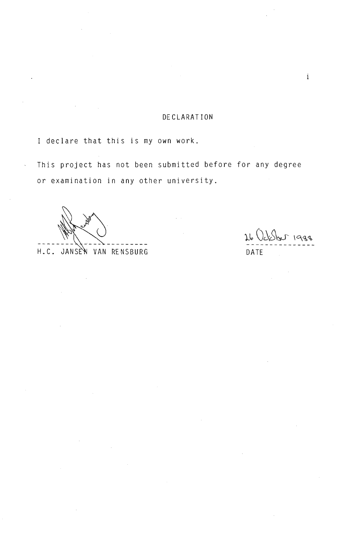# DECLARATION

I declare that this is my own work.

This project has not been submitted before for any degree or examination in any other university.

H.C. JANSEN VAN RENSBURG DATE

26 October 1988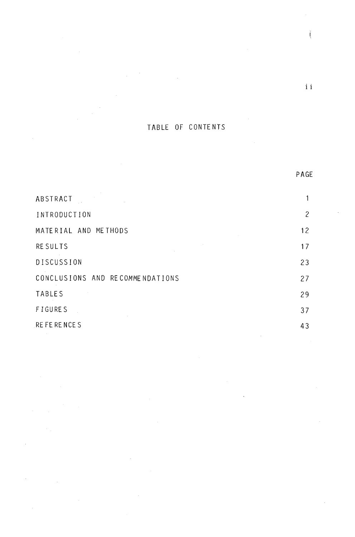# TABLE OF CONTENTS

| ABSTRACT                        |    |
|---------------------------------|----|
| INTRODUCTION                    | 2  |
| MATERIAL AND METHODS            | 12 |
| <b>RESULTS</b>                  | 17 |
| DISCUSSION                      | 23 |
| CONCLUSIONS AND RECOMMENDATIONS | 27 |
| <b>TABLES</b>                   | 29 |
| <b>FIGURES</b>                  | 37 |
| RE FE RENCES                    | 43 |

 $\mathrm{i}\,\mathrm{i}$ 

PAGE

Ĩ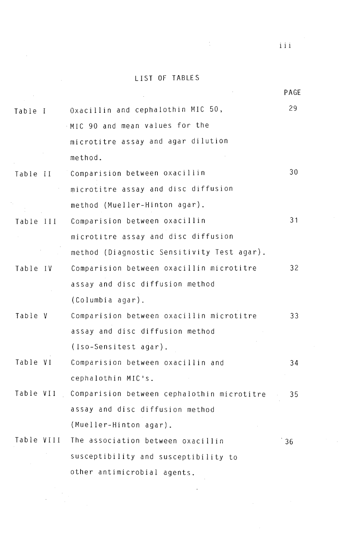# LIST OF TABLES

 $\mathcal{L}_{\text{eff}}$ 

 $\hat{A}$ 

 $\epsilon_{\rm{2}}$  .

 $\frac{1}{2}$  ,  $\frac{1}{2}$ 

 $\sim 10^{-10}$ 

|            |           |                                            | <b>PAGE</b> |
|------------|-----------|--------------------------------------------|-------------|
| Table I    |           | Oxacillin and cephalothin MIC 50,          | 29          |
|            |           | MIC 90 and mean values for the             |             |
|            |           | microtitre assay and agar dilution         |             |
|            |           | method.                                    |             |
|            |           | Table II Comparision between oxacillin     | 30          |
|            |           | microtitre assay and disc diffusion        |             |
|            |           | method (Mueller-Hinton agar).              |             |
| Table III  |           | Comparision between oxacillin              | 31          |
|            |           | microtitre assay and disc diffusion        |             |
|            |           | method (Diagnostic Sensitivity Test agar). |             |
|            | Table IV  | Comparision between oxacillin microtitre   | 32          |
|            |           | assay and disc diffusion method            |             |
|            |           | (Columbia agar).                           |             |
| Table V    |           | Comparision between oxacillin microtitre   | 33          |
|            |           | assay and disc diffusion method            |             |
|            |           | (Iso-Sensitest agar).                      |             |
| Table VI   |           | Comparision between oxacillin and          | 34          |
|            |           | cephalothin MIC's.                         |             |
|            | Table VII | Comparision between cephalothin microtitre | 35          |
|            |           | assay and disc diffusion method            |             |
|            |           | (Mueller-Hinton agar).                     |             |
| Table VIII |           | The association between oxacillin          | 36          |
|            |           | susceptibility and susceptibility to       |             |
|            |           |                                            |             |

other antimicrobial agents.

 $\label{eq:2} \begin{split} \mathcal{L}_{\text{max}}(\mathbf{r}) = \mathcal{L}_{\text{max}}(\mathbf{r}) \end{split}$ 

 $\frac{1}{2}$ 

 $\hat{\boldsymbol{\lambda}}$ 

iii

PAGE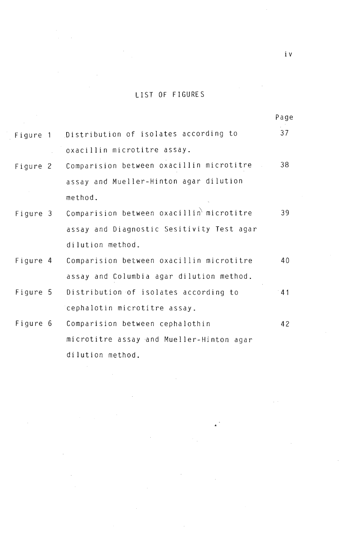# LIST OF FIGURES

|          |                                                | Page |
|----------|------------------------------------------------|------|
|          | Figure 1 Distribution of isolates according to | 37   |
|          | oxacillin microtitre assay.                    |      |
| Figure 2 | Comparision between oxacillin microtitre       | 38   |
|          | assay and Mueller-Hinton agar dilution         |      |
|          | method.                                        |      |
| Figure 3 | Comparision between oxacillin microtitre       | 39   |
|          | assay and Diagnostic Sesitivity Test agar      |      |
|          | dilution method.                               |      |
| Figure 4 | Comparision between oxacillin microtitre       | 40   |
|          | assay and Columbia agar dilution method.       |      |
| Figure 5 | Distribution of isolates according to          | 41   |
|          | cephalotin microtitre assay.                   |      |
| Figure 6 | Comparision between cephalothin                | 42   |
|          | microtitre assay and Mueller-Hinton agar       |      |
|          | dilution method.                               |      |

 $\bar{\omega}$ 

 $\bar{\bar{z}}$ 

 $\sim$ 

 $\sim$ 

e.

 $\bar{z}$ 

i v

 $\bar{\alpha}$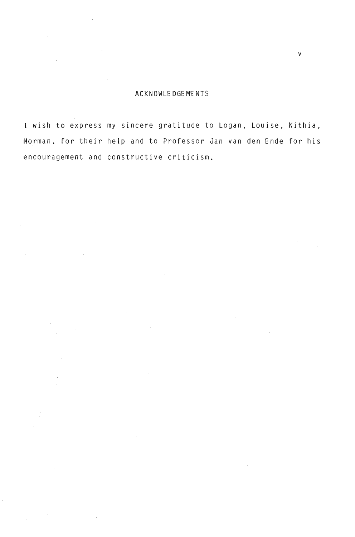## ACKNOWLEDGEMENTS

v

I wish to express my sincere gratitude to Logan, Louise, Nithia, Norman, for their help and to Professor Jan van den Ende for his encouragement and constructive criticism.

 $\sim 1$ 

 $\mathcal{L}_{\mathcal{L}}$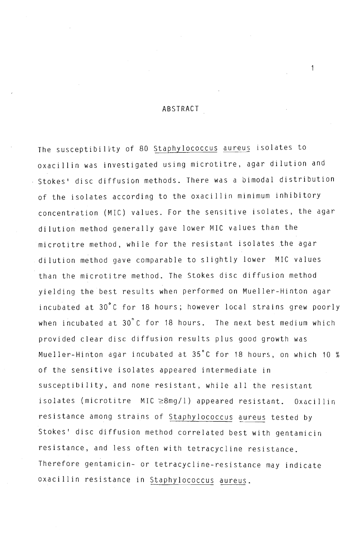### ABSTRACT

The susceptibility of 80 Staphylococcus aureus isolates to oxacillin was investigated using microtitre, agar dilution and Stokes' disc diffusion methods. There was a bimodal distribution of the isolates according to the oxacillin minimum inhibitory concentration (MIC) values. For the sensitive isolates, the agar dilution method generally gave lower MIC values than the microtitre method, while for the resistant isolates the agar . dilution method gave comparable to slightly lower MIC values than the microtitre method. The Stokes disc diffusion method yielding the best results when performed on Mueller-Hinton agar incubated at 30°C for 18 hours; however local strains grew poorly when incubated at 30°C for 18 hours. The next best medium which provided clear disc diffusion results plus good growth was Mueller-Hinton agar incubated at 35°C for 18 hours, on which 10 % of the sensitive isolates appeared intermediate in susceptibility, and none resistant, while all the resistant isolates (microtitre MIC  $\geq$ 8mg/l) appeared resistant. Oxacillin resistance among strains of Staphylococcus aureus tested by Stokes' disc diffusion method correlated best with gentamicin resistance, and less often with tetracycline resistance. Therefore gentamicin- or tetracycline-resistance may indicate oxacillin resistance in Staphylococcus aureus.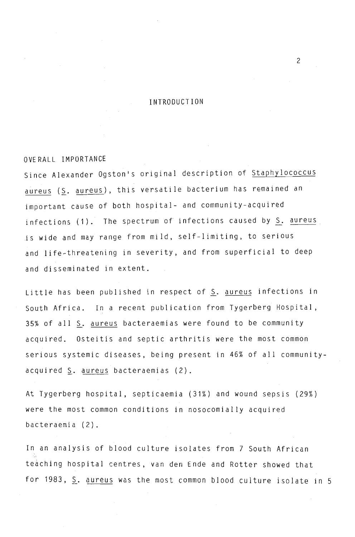### INTRODUCTION

2

#### OVERALL IMPORTANCE

Since Alexander Ogston's original description of Staphylococcus aureus ( $S$ . aureus), this versatile bacterium has remained an important cause of both hospital- and community-acquired infections (1). The spectrum of infections caused by S. aureus .is wide and may range from mild, self-limiting, to serious and life-threatening in severity, and from superficial to deep and disseminated in extent.

Little has been published in respect of S. aureus infections in South Africa. In a recent publication from Tygerberg Hospital, 35% of all S. aureus bacteraemias were found to be community acquired. Osteitis and septic arthritis were the most common serious systemic diseases, being present in 46% of all communityacquired  $\leq$ . aureus bacteraemias (2).

At Tygerberg hospital, septicaemia (31%) and wound sepsis (29%) were the most common conditions in nosocomially acquired bacteraemia (2).

In an analysis of blood culture isolates from 7 South African teaching hospital centres, van den Ende and Rotter showed that for 1983, S. aureus was the most common blood culture isolate in 5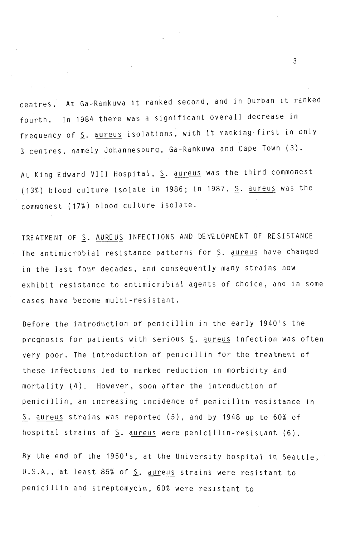centres. At Ga-Rankuwa it ranked second, and in Durban it ranked fourth. In 1984 there was a significant overall decrease in frequency of  $S$ . aureus isolations, with it ranking first in only 3 centres, namely Johannesburg, Ga-Rankuwa and Cape Town (3).

At King Edward VIII Hospital, S. aureus was the third commonest (13%) blood culture isolate in 1986; in 1987, S. aureus was the commonest (17%) blood culture isolate.

TREATMENT OF S. AUREUS INFECTIONS AND DEVELOPMENT OF RESISTANCE The antimicrobial resistance patterns for S. aureus have changed in the last four decades, and consequently many strains now exhibit resistance to antimicribial agents of choice, and in some cases have become multi-resistant.

Before the introduction of penicillin in the early 1940's the prognosis for patients with serious S. aureus infection was often very poor. The introduction of penicillin for the treatment of these infections led to marked reduction in morbidity and mortality (4). However, soon after the introduction of penicillin, an increasing incidence of penicillin resistance in S. aureus strains was reported (5), and by 1948 up to 60% of hospital strains of S. aureus were penicillin-resistant (6).

By the end of the 1950's, at the University hospital in Seattle, U.S.A., at least 85% of S. aureus strains were resistant to penicillin and streptomycin, 60% were resistant to

 $\overline{3}$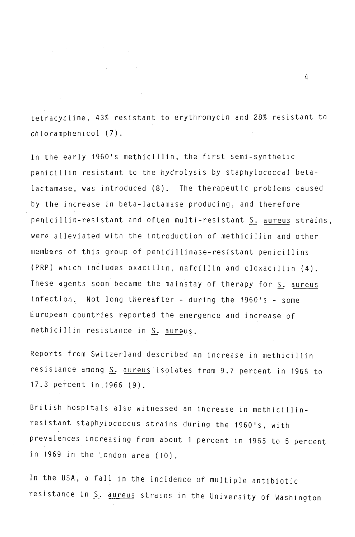tetracycline, 43% resistant to erythromycin and 28% resistant to chloramphenicol (7).

In the early 1960's methicillin, the first semi-synthetic penicillin resistant to the hydrolysis by staphylococcal betalactamase, was introduced (8). The therapeutic problems caused by the increase in beta-Iactamase producing, and therefore penicillin-resistant and often multi-resistant S. aureus strains, were alleviated with the introduction of methicillin and other members of this group of penicillinase-resistant penicillins (PRP) which includes oxacillin, nafcillin and cloxacillin (4). These agents soon became the mainstay of therapy for S. aureus infection. Not long thereafter - during the 1960's - some European countries reported the emergence and increase of methicillin resistance in S. aureus.

Reports from Switzerland described an increase in methicillin resistance among S. aureus isolates from 9.7 percent in 1965 to 17.3 percent in 1966 (9).

British hospitals also witnessed an increase in methicillinresistant staphylococcus strains during the 1960's, with prevalences increasing from about 1 percent in 1965 to 5 percent in 1969 in the London area (10).

In the USA, a fall in the incidence of multiple antibiotic resistance in S. aureus strains in the University of Washington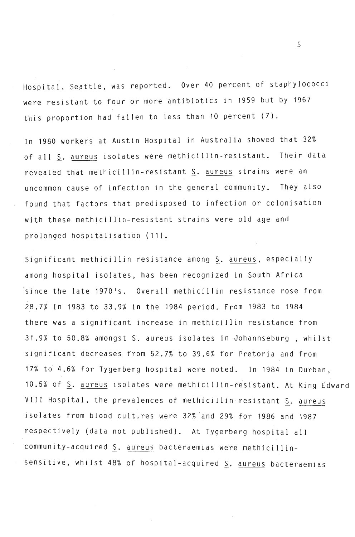Hospital, Seattle, was reported. Over 40 percent of staphylococci were resistant to four or more antibiotics in 1959 but by 1967 this proportion had fallen to less than 10 percent (7).

In 1980 workers at Austin Hospital in Australia showed that 32% of all S. aureus isolates were methicillin-resistant. Their data revealed that methicillin-resistant S. aureus strains were an uncommon cause of infection in the general community. They also found that factors that predisposed to infection or colonisation with these methicillin-resistant strains were old age and prolonged hospitalisation (11).

Significant methicillin resistance among S. aureus, especially among hospital isolates, has been recognized in South Africa since the late 1970's. Overall methicillin resistance rose from 28.7% in 1983 to 33.9% in the 1984 period. From 1983 to 1984 there was a significant increase in methicillin resistance from 31.9% to 50.8% amongst S. aureus isolates in Johannseburg , whilst significant decreases from 52.7% to 39.6% for Pretoria and from 17% to 4.6% for Tygerberg hospital were noted. In 1984 in Durban, 10.5% of S. aureus isolates were methicillin-resistant. At King Edward VIII Hospital, the prevalences of methicillin-resistant S. aureus isolates from blood cultures were 32% and 29% for 1986 and 1987 respectively (data not published). At Tygerberg hospital all community-acquired S. aureus bacteraemias were methicillinsensitive, whilst 48% of hospital-acquired S. aureus bacteraemias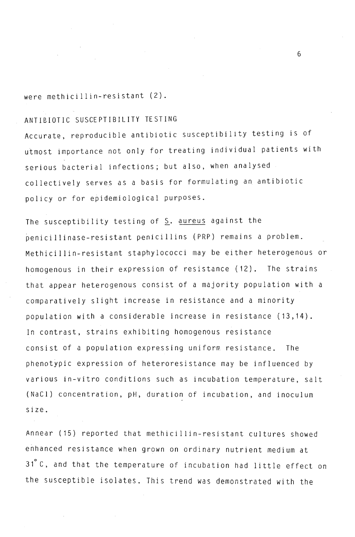were methicillin-resistant (2).

# ANTIBIOTIC SUSCEPTIBILITY TESTING

Accurate, reproducible antibiotic susceptibility testing is of utmost importance not only for treating individual patients with serious bacterial infections; but also, when analysed collectively serves as a basis for formulating an antibiotic policy or for epidemiological purposes.

The susceptibility testing of  $S$ . aureus against the penicillinase-resistant penicillins (PRP) remains a problem. Methicillin-resistant staphy lococci may be either heterogenous or homogenous in their expression of resistance (12). The strains that appear heterogenous consist of a majority population with a comparatively slight increase in resistance and a minority population with a considerable increase in resistance (13,14). In contrast, strains exhibiting homogenous resistance consist of a population expressing uniform resistance. The phenotypic expression of heteroresistance may be influenced by various in-vitro conditions such as incubation temperature, salt (NaCl) concentration, pH, duration of incubation, and inoculum size.

Annear (15) reported that methicillin-resistant cultures showed enhanced resistance when grown on ordinary nutrient medium at 31 C, and that the temperature of incubation had little effect on the susceptible isolates. This trend was demonstrated with the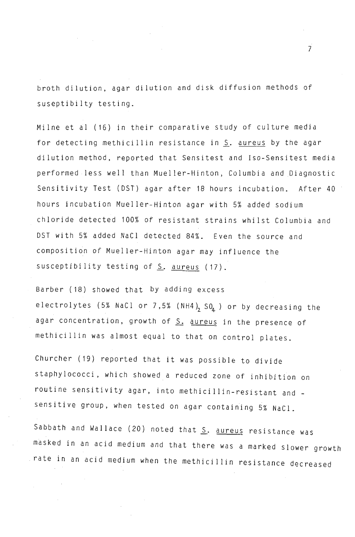broth dilution, agar dilution and disk diffusion methods of suseptibilty testing.

Milne et al (16) in their comparative study of culture media for detecting methicillin resistance in S. aureus by the agar dilution method, reported that Sensitest and Iso-Sensitest media performed less well than Mueller-Hinton , Columbia and Diagnostic Sensitivity Test (DST) agar after 18 hours incubation. After 40 hours incubation Mueller-Hinton agar with 5% added sodium chloride detected 100% of resistant strains whilst Columbia and DST with 5% added NaCI detected 84%. Even the source and composition of Mueller-Hinton agar may influence the susceptibility testing of  $S$ . aureus (17).

Barber (18) showed that by adding excess electrolytes (5% NaCl or 7,5% (NH4)<sub>2</sub> SO<sub>4</sub>) or by decreasing the agar concentration, growth of S. aureus in the presence of methicillin was almost equal to that on control plates.

Churcher (19) reported that it was possible to divide staphylOcocci, which showed a reduced zone of inhibition on routine sensitivity agar, i nto methicillin-resistant and \_ sensitive group, when tested on agar containing 5% NaCl.

Sabbath and Wallace (20) noted that S. aureus resistance was masked in an acid medium and that there was a marked slower growth rate in an acid medium when the methicillin resistance decreased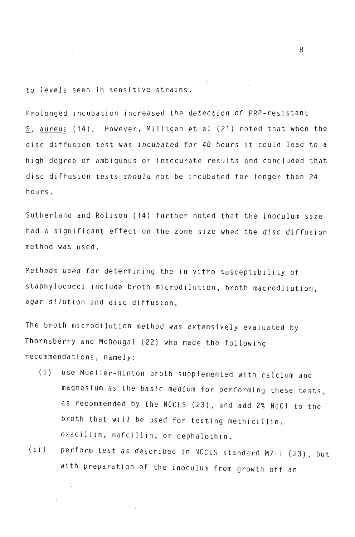to levels seen in sensitive strains.

Prolonged incubation increased the detection of PRP-resistant S. aureus (14). However, Milligan et al (21) noted that when the disc diffusion test was incubated for 48 hours it could lead to a high degree of ambiguous or inaccurate results and concluded that disc diffusion tests should not be incubated for longer than 24 hours.

Sutherland and Rolison (14) further noted that the inoculum size had a significant effect on the zone size when the disc diffusion method was used.

Methods used for determining the in vitro susceptibility of staphylococci include broth microdilution, broth macrodilution, agar dilution and disc diffusion.

The broth microdilution method was extensively evaluated by Thornsberry and McDougal (22) who made the following recommendations, namely:

- (i) use Mueller-Hinton broth supplemented with calcium and magnesium as the basic medium for performing these tests, as recommended by the NCClS (23), and add 2% NaCI to the broth that will be used for testing methicillin, oxacillin, nafcillin, or cephalothin.
- (ii) perform test as described in NCClS standard M7-T (23), but with preparation of the inoculum from growth off an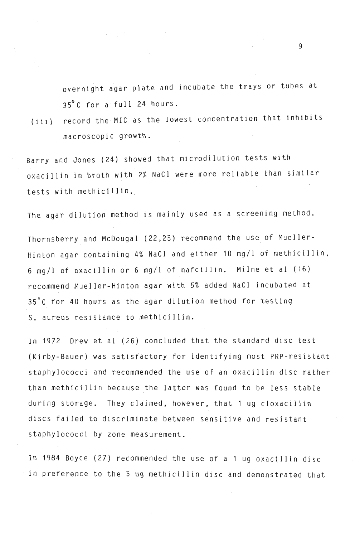overnight agar plate and incubate the trays or tubes at 35°C for a full 24 hours.

(iii) record the MIC as the lowest concentration that inhibits macroscopic growth.

Barry and Jones (24) showed that microdilution tests with oxacillin in broth with 2% NaCI were more reliable than similar tests with methicillin.

The agar dilution method is mainly used as a screening method.

Thornsberry and McDougal (22,25) recommend the use of Mueller-Hinton agar containing 4% NaCI and either 10 mg/l of methicillin, 6 mg/l of oxacillin or 6 mg/l of nafcillin. Milne et al (16) recommend Mueller-Hinton agar with 5% added NaCI incubated at 35°C for 40 hours as the agar dilution method for testing S. aureus resistance to methicillin.

In 1972 Drew et al (26) concluded that the standard disc test (Kirby-Bauer) was satisfactory for identifying most PRP-resistant staphylococci and recommended the use of an oxacillin disc rather than methicillin because the latter was found to be less stable during storage. They claimed, however, that 1 ug cloxacillin discs failed to discriminate between sensitive and resistant staphylococci by zone measurement.

In 1984 Boyce (27) recommended the use of a 1 ug oxacillin disc in preference to the 5 ug methicillin disc and demonstrated that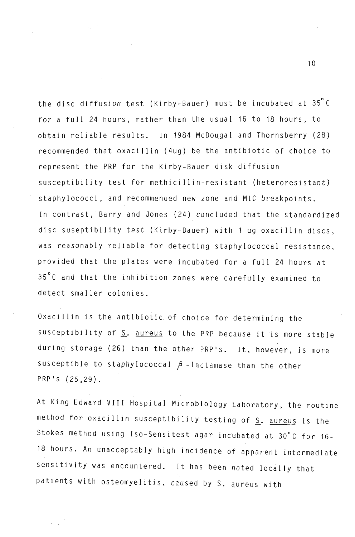the disc<sup>i</sup>diffusion test (Kirby-Bauer) must be incubated at 35°C for a full 24 hours, rather than the usual 16 to 18 hours, to obtain reliable results. In 1984 McDougal and Thornsberry (28) recommended that oxacillin (4ug) be the antibiotic of choice to represent the PRP for the Kirby-Bauer disk diffusion susceptibility test for methicillin-resistant (heteroresistant) staphylococci, and recommended new zone and MIC breakpoints. In contrast, Barry and Jones (24) concluded that the standardized disc suseptibility test (Kirby-Bauer) with 1 ug oxacillin discs, was reasonably reliable for detecting staphylococcal resistance, provided that the plates were incubated for a full 24 hours at 35°C and that the inhibition zones were carefully examined to detect smaller colonies.

Oxacillin is the antibiotic of choice for determining the susceptibility of S. aureus to the PRP because it is more stable during storage (26) than the other PRP's. It, however, is more susceptible to staphylococcal  $\beta$  -lactamase than the other PRP's (25,29).

At King Edward VIII Hospital Microbiology Laboratory, the routine method for oxacillin susceptibility testing of S. aureus is the Stokes method using Iso-Sensitest agar incubated at 30°C for 16- 18 hours. An unacceptably high incidence of apparent intermediate sensitivity was encountered. It has been noted locally that patients with osteomyelitis, caused by S. aureus with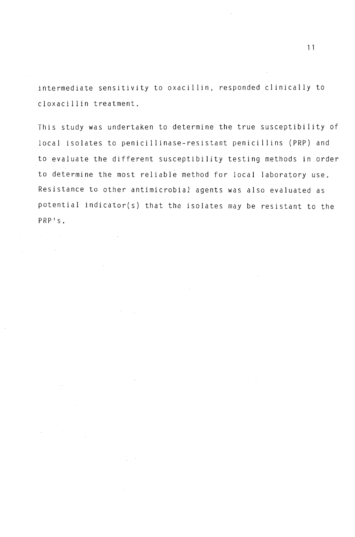intermediate sensitivity to oxacillin, responded clinically to cloxacillin treatment.

This study was undertaken to determine the true susceptibility of local isolates to penicillinase-resistant penicillins (PRP) and to evaluate the different susceptibility testing methods in order to determine the most reliable method for local laboratory use. Resistance to other antimicrobial agents was also evaluated as potential indicator(s) that the isolates may be resistant to the PRP's.

 $\Delta \sim 10^{11}$  km  $^{-1}$ 

 $\sim 10^7$ 

 $\sim$  .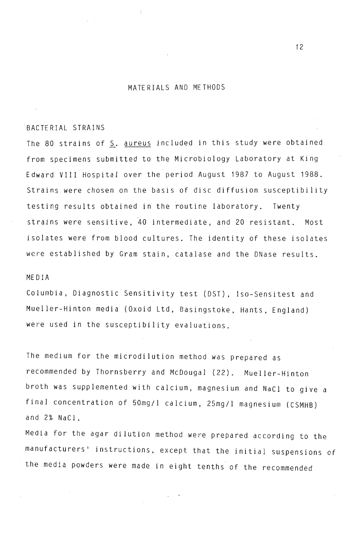#### MATERIALS AND METHODS

### BACTERIAL STRAINS

The 80 strains of S. aureus included in this study were obtained from specimens submitted to the Microbiology Laboratory at King Edward VIII Hospital over the period August 1987 to August 1988. Strains were chosen on the basis of disc diffusion susceptibility testing results obtained in the routine laboratory. Twenty strains were sensitive,40 intermediate, and 20 resistant. Most isolates were from blood cultures. The identity of these isolates were established by Gram stain, catalase and the DNase results.

#### MEDIA

Columbia, Diagnostic Sensitivity test (DST), Iso-Sensitest and Mueller-Hinton media (Oxoid Ltd, Basingstoke, Hants, England) were used in the susceptibility evaluations.

The medium for the microdilution method was prepared as recommended by Thornsberry and McDougal (22). Mueller-Hinton broth was supplemented with calcium, magnesium and NaCI to give a final concentration of 50mg/1 calcium, 25mg/1 magnesium (CSMHB) and 2% NaCI.

Media for the agar dilution method were prepared according to the manufacturers' instructions, except that the initial suspensions of the media powders were made in eight tenths of the recommended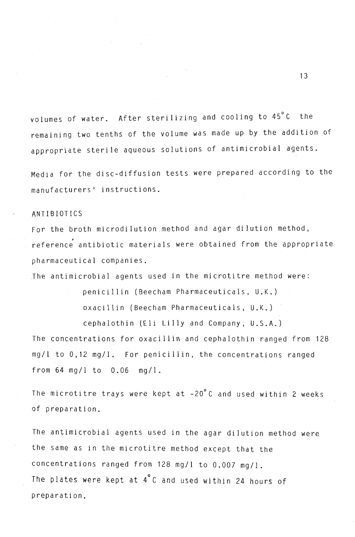volumes of water. After sterilizing and cooling to 45°C the remaining two tenths of the volume was made up by the addition of appropriate sterile aqueous solutions of antimicrobial agents.

Media for the disc-diffusion tests were prepared according to the manufacturers' instructions.

### ANTIBIOTICS

For the broth microdilution method and agar dilution method,<br>reference antibiotic materials were obtained from the appropriate pharmaceutical companies .

. The antimicrobial agents used in the microtitre method were:

penicillin (Beecham Pharmaceuticals , U.K.) oxacillin (Beecham Pharmaceuticals, U.K.) cephalothin (Eli Lilly and Company, U.S.A.) The concentrations for oxacillin and cephalothin ranged from 128 mg/1 to 0,12 mg/1. For penicillin, the concentrations ranged from  $64 \text{ mg/l}$  to  $0.06 \text{ mg/l}$ .

The microtitre trays were kept at -20°C and used within 2 weeks of preparation.

The antimicrobial agents used in the agar dilution method were the same as in the microtitre method except that the concentrations ranged from 128 mg/l to 0.007 mg/l. The plates were kept at 4°C and used within 24 hours of preparation.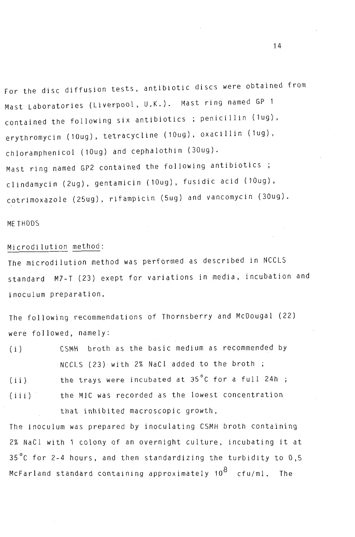For the disc diffusion tests, antibiotic discs were obtained from Mast laboratories (liverpool, U.K.). Mast ring named GP 1 contained the following six antibiotics; penicillin (1ug), erythromycin (10ug), tetracycline (10ug), oxacillin (1ug), chloramphenicol (10ug) and cephalothin (30ug). Mast ring named GP2 contained the following antibiotics clindamycin (2ug), gentamicin (10ug), fusidic acid (10ug), cotrimoxazole (25ug), rifampicin (5ug) and vancomycin (30ug).

### ME THODS

# Microdilution method:

The microdilution method was performed as described in NCClS standard M7-T (23) exept for variations in media, incubation and inoculum preparation.

The following recommendations of Thornsberry and McDougal (22) were followed, namely:

- $(i)$ CSMH broth as the basic medium as recommended by NCClS (23) with 2% NaCI added to the broth ;
- $(i i)$  $(iii)$ the trays were incubated at  $35^{\circ}$ C for a full 24h : the MIC was recorded as the lowest concentration that inhibited macroscopic growth.

The inoculum was prepared by inoculating CSMH broth containing 2% NaCI with 1 colony of an overnight culture, incubating it at 35 C for 2-4 hours, and then standardizing the turbidity to  $0.5$ McFarland standard containing approximately  $10^8$  cfu/ml. The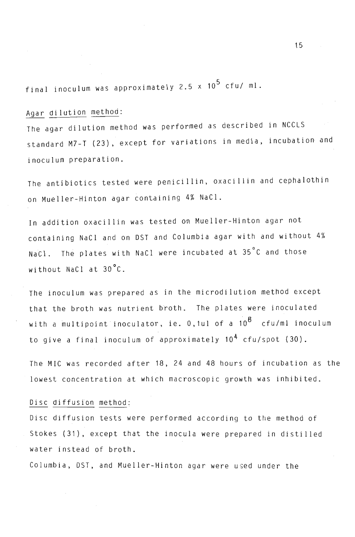final inoculum was approximately 2.5  $\times$  10<sup>5</sup> cfu/ ml.

# Agar dilution method:

The agar dilution method was performed as described in NCClS standard M7-T (23), except for variations in media, incubation and inoculum preparation.

The antibiotics tested were penicillin, oxacillin and cephalothin on Mueller-Hinton agar containing 4% NaCI.

In addition oxacillin was tested on Mueller-Hinton agar not containing NaCI and on DST and Columbia agar with and without 4% NaCl. The plates with NaCl were incubated at 35°C and those without NaCI at 30°C.

The inoculum was prepared as in the microdilution method except that the broth was nutrient broth. The plates were inoculated with a multipoint inoculator, ie. 0,1ul of a 10<sup>8</sup> cfu/ml inoculum to give a final inoculum of approximately 10<sup>4</sup> cfu/spot (30).

The MIC was recorded after 18, 24 and 48 hours of incubation as the lowest concentration at which macroscopic growth was inhibited.

### Disc diffusion method:

Disc diffusion tests were performed according to the method of Stokes (31), except that the inocula were prepared in distilled water instead of broth.

Columbia, DST, and Mueller-Hinton agar were used under the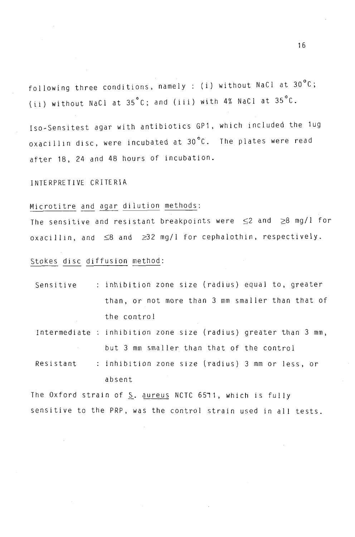following three conditions, namely : (i) without NaCl at  $30^{\circ}$ C; (ii) without NaCl at 35°C; and (iii) with 4% NaCI at 35°C.

Iso-Sensitest agar with antibiotics GP1, which included the lug oxacillin disc, were incubated at 30°C. The plates were read after 18, 24 and 48 hours of incubation.

INTERPRETIVE CRITERIA

# Microtitre and agar dilution methods:

The sensitive and resistant breakpoints were  $\leq$  2 and  $\geq$ 8 mg/l for oxacillin, and  $\leq$ 8 and  $\geq$ 32 mg/l for cephalothin, respectively.

### Stokes disc diffusion method:

| Sensitive | : inhibition zone size (radius) equal to, greater |
|-----------|---------------------------------------------------|
|           | than, or not more than 3 mm smaller than that of  |
|           | the control                                       |

Intermediate inhibition zone size (radius) greater than 3 mm, but 3 mm smaller than that of the control

Resistant inhibition zone size (radius) 3 mm or less, or absent

The Oxford strain of  $S$ . aureus NCTC 6571, which is fully sensitive to the PRP, was the control strain used **in** all tests.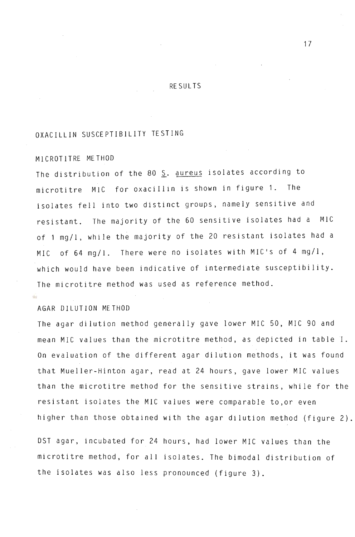#### RESULTS

# OXACILLIN SUSCEPTIBILITY TESTING

## MICROTITRE METHOD

The distribution of the 80 S. aureus isolates according to microtitre MIC for oxacillin is shown in figure 1. The isolates fell into two distinct groups, namely sensitive and resistant. The majority of the 60 sensitive isolates had a MIC of 1 mg/l, while the majority of the 20 resistant isolates had a MIC of 64 mg/l. There were no isolates with MIC's of 4 mg/l, which would have been indicative of intermediate susceptibility. The microtitre method was used as reference method.

#### AGAR DILUTION METHOD

The agar dilution method generally gave lower MIC 50, MIC 90 and mean MIC values than the microtitre method, as depicted in table I. On evaluation of the different agar dilution methods, it was found that Mueller-Hinton agar, read at 24 hours, gave lower MIC values than the microtitre method for the sensitive strains, while for the resistant isolates the MIC values were comparable to,or even higher than those obtained with the agar dilution method (figure 2).

DST agar, incubated for 24 hours, had lower MIC values than the microtitre method, for all isolates. The bimodal distribution of the isolates was also less pronounced (figure 3).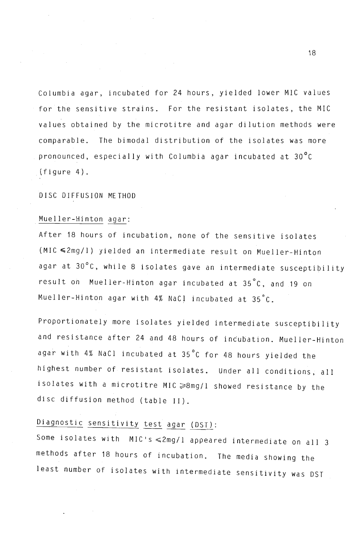Columbia agar, incubated for 24 hours, yielded lower MIC values for the sensitive strains. For the resistant isolates, the MIC values obtained by the microtitre and agar dilution methods were comparable. The bimodal distribution of the isolates was more pronounced, especially with Columbia agar incubated at 30°C (figure 4).

DISC DIFFUSION METHOD

# Mueller-Hinton agar:

After 18 hours of incubation, none of the sensitive isolates (MIC <2mg/l) yielded an intermediate result on Mueller-Hinton agar at 30°C, while 8 isolates gave an intermediate susceptibility result on Mueller-Hinton agar incubated at 35°C, and 19 on Mueller-Hinton agar with 4% NaCI incubated at 35°C.

Proportionately more isolates yielded intermediate susceptibility and resistance after 24 and 48 hours of incubation. Mueller-Hinton agar with  $4%$  NaCl incubated at  $35^{\circ}$ C for  $48$  hours yielded the highest number of resistant isolates. Under all conditions, all isolates with a microtitre MIC  $\geqslant$ 8mg/l showed resistance by the disc diffusion method (table II).

# Diagnostic sensitivity test agar (DST):

Some isolates with  $MIC's \leq 2mg/l$  appeared intermediate on all 3 methods after 18 hours of incubation. The media showing the least number of isolates with intermediate sensitivity was DST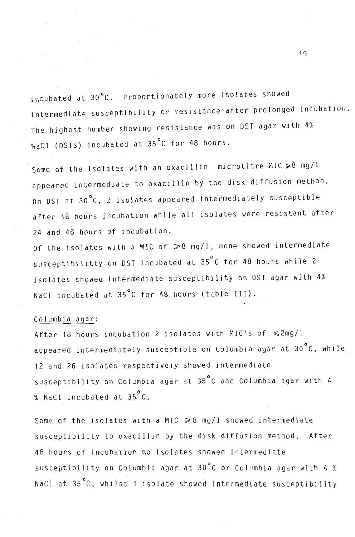incubated at 30°C. Proportionately more isolates showed intermediate susceptibility or resistance after prolonged incubation. The highest number showing resistance was on OST agar with 4% NaCl (DSTS) incubated at 35°C for 48 hours.

Some of the isolates with an oxacillin microtitre MIC  $>8$  mg/l appeared intermediate to oxacillin by the disk diffusion methoo. On OST at 30°C, 2 isolates appeared intermediately susceptible after 18 hours incubation while all isolates were resistant after 24 and 48 hours of incubation.

Of the isolates with a MIC of  $\geqslant 8$  mg/l, none showed intermediate susceptibilitty on DST incubated at 35°C for 48 hours while 2 isolates showed intermediate susceptibility on OST agar with 4% NaCl incubated at 35°C for 48 hours (table III).

### Columbia agar:

After 18 hours incubation 2 isolates with MIC's of  $\leq 2$ mg/l appeared intermediately susceptible on Columbia agar at 30°C, while 12 and 26 isolates respectively showed intermediate susceptibility on Columbia agar at 35°C and Columbia agar with 4  $%$  NaCl incubated at  $35\degree$ C.

Some of the isolates with a MIC  $\geq 8$  mg/l showed intermediate susceptibility to oxacillin by the disk diffusion method. After 48 hours of incubation no isolates showed intermediate susceptibility on Columbia agar at 30°C or Columbia agar with 4 % NaCl at 35°C, whilst 1 isolate showed intermediate susceptibility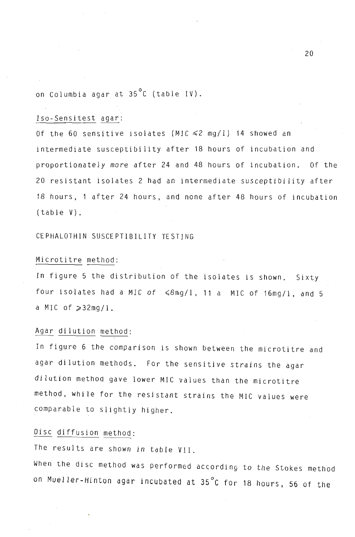on Columbia agar at 35°C (table IV).

### lso-Sensitest agar:

Of the 60 sensitive isolates (MIC  $\leq$ 2 mg/l) 14 showed an intermediate susceptibility after 18 hours of incubation and proportionately more after 24 and 48 hours of incubation. Of the 20 resistant isolates 2 had an intermediate susceptibility after 18 hours, 1 after 24 hours, and none after 48 hours of incubation (table V).

CEPHALOTHIN SUSCEPTIBILITY TESTING

#### Microtitre method:

In figure 5 the distribution of the isolates is shown. Sixty four isolates had a MIC of  $\leq 8$ mg/l, 11 a MIC of 16mg/l, and 5 a MIC of  $\geqslant$  32mg/l.

#### Agar dilution method:

In figure 6 the comparison is shown between the microtitre and agar dilution methods. For the sensitive strains the agar dilution method gave lower MIC values than the microtitre method, while for the resistant strains the MIC values were comparable to slightly higher.

## Disc diffusion method:

The results are shown in table VII.

When the disc method was performed according to the Stokes method on Mueller-Hinton agar incubated at 35°C for 18 hours, 56 of the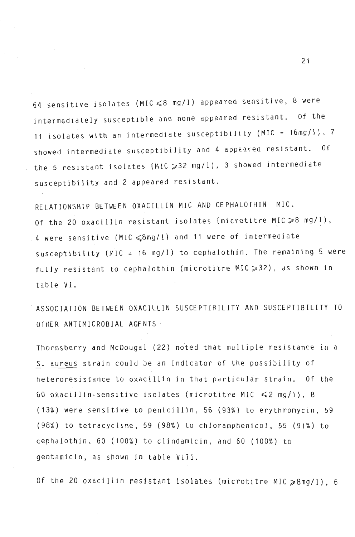64 sensitive isolates (MIC  $\leqslant$  8 mg/l) appeared sensitive, 8 were intermediately susceptible and none appeared resistant. Of the 11 isolates with an intermediate susceptibility (MIC = 16mg/I), 7 showed intermediate susceptibility and 4 appeared resistant. Of the 5 resistant isolates (MIC  $\geqslant$  32 mg/l), 3 showed intermediate susceptibility and 2 appeared resistant.

RELATIONSHIP BETWEEN OXACILLIN MIC AND CEPHALOTHIN MIC. Of the 20 oxacillin resistant isolates (microtitre MIC  $\geqslant$  8 mg/l), 4 were sensitive (MIC  $\leqslant$ 8mg/1) and 11 were of intermediate susceptibility (MIC =  $16$  mg/l) to cephalothin. The remaining 5 were fully resistant to cephalothin (microtitre MIC  $\geqslant$  32), as shown in table VI.

ASSOCIATION BETWEEN OXACILLIN SUSCEPTIBILITY AND SUSCEPTIBILITY TO OTHER ANTIMICROBIAL AGENTS

Thornsberry and McDougal (22) noted that multiple resistance in a S. aUreus strain could be an indicator of the possibility of heteroresistance to oxacillin in that particular strain. Of the 60 oxacillin-sensitive isolates (microtitre M1C  $\leq 2$  mg/l), 8 (13%) were sensitive to penicillin, 56 (93%) to erythromycin, 59 (98%) to tetracycline, 59 (98%) to chloramphenicol, 55 (91%) to cephalothin, 60 (100%) to clindamicin, and 60 (100%) to gentamicin, as shown in table VIII.

Of the 20 oxacillin resistant isolates (microtitre MIC  $\geqslant$ 8mg/1), 6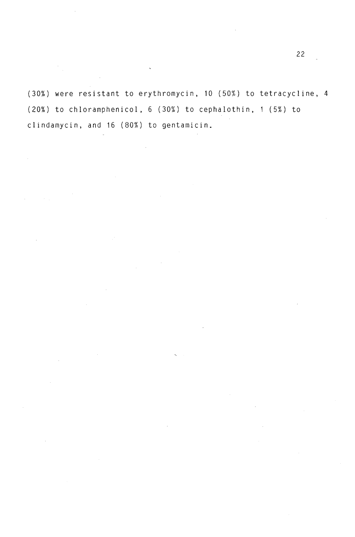(30%) were resistant to erythromycin, 10 (50%) to tetracycline, 4 (20%) to chloramphenicol, 6 (30%) to cephalothin, 1 (5%) to clindamycin, and 16 (80%) to gentamicin.

 $\ddot{\phantom{0}}$ 

 $\bar{z}$ 

 $\hat{\boldsymbol{\beta}}$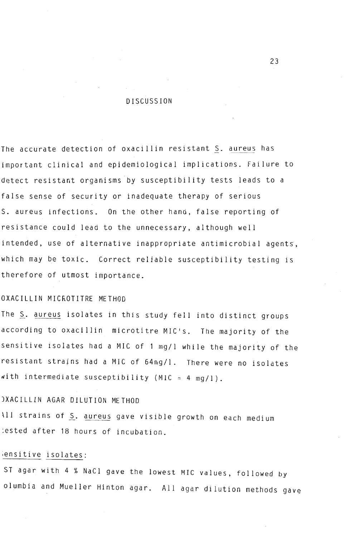#### **DISCUSSION**

The accurate detection of oxacillin resistant S. aureus has important clinical and epidemiological implications. Failure to detect resistant organisms by susceptibility tests leads to a false sense of security or inadequate therapy of serious S. aureus infections. On the other hand, false reporting of resistance could lead to the unnecessary, although well intended, use of alternative inappropriate antimicrobial agents, which may be toxic. Correct reliable susceptibility testing is therefore of utmost importance.

### OXACILLIN MICROTITRE METHOD

The S. aureus isolates in this study fell into distinct groups according to oxacillin microtitre MIC's. The majority of the sensitive isolates had a MIC of 1 mg/l while the majority of the resistant strains had a MIC of 64mg/l. There were no isolates with intermediate susceptibility (MIC =  $4 \text{ mg/l}$ ).

### )XACILLIN AGAR DILUTION METHOD

\11 strains of S. aureus gave visible growth on each medium :ested after 18 hours of incubation.

### ;ensitive isolates:

ST agar with 4 % NaCI gave the lowest MIC values, followed by olumbia and Mueller Hinton agar. All agar dilution methods gave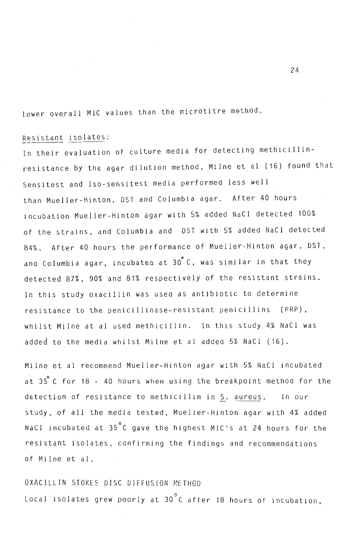lower overall MIC values than the microtitre method.

## Resistant isolates:

In their evaluation of culture media for detecting methicillinresistance by the agar dilution method, Milne et al (16) found that Sensitest and Iso-sensitest media performed less well than Mueller-Hinton, DST and Columbia agar. After 40 hours incubation Mueller-Hinton agar with 5% added NaCI detected 100% of the strains, and Columbia and DST with 5% added NaCI detected 84%. After 40 hours the performance of Mueller-Hinton agar, DST, and Columbia agar, incubated at 30°C, was similar in that they detected 87%, 90% and 81% respectively of the resistant strains. In this study oxacillin was usea as antibiotic to determine resistance to the penicillinase-resistant penicillins (PRP), whilst Milne at al used methicillin. In this study 4% NaCl was added to the media whilst Milne et al addea 5% NaCI (16).

Milne et al recommend Mueller-Hinton agar with 5% NaCl incubated at 35 C for 18 - 40 hours when using the breakpoint method for the detection of resistance to methicillin in S. aureus. In our study, of all the media tested, Mueller-Hinton agar with 4% added NaCI incubated at 35°C gave the highest MIC's at 24 hours for the resistant isolates, confirming the findings and recommendations of Milne et al.

OXACILLIN STOKES DISC DIFFUSION METHOD Local isolates grew poorly at  $30^{\circ}$ C after 18 hours of incubation,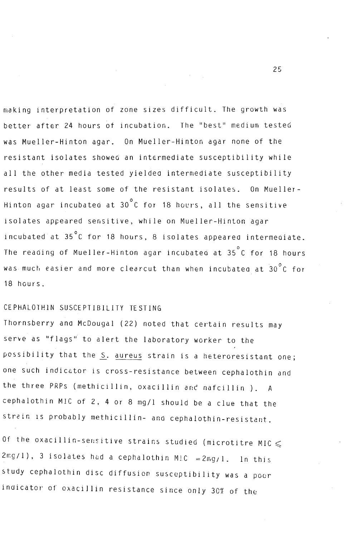making interpretation of zone sizes difficult. The growth was better after 24 hours of incubation. The "best" medium tested was Mueller-Hinton agar. On Mueller-Hinton agar none of the resistant isolates showed an intermediate susceptibility while all the other media tested yielded intermediate susceptibility results of at least some of the resistant isolates. On Mueller-Hinton agar incubated at  $30^\circ$ C for 18 hours, all the sensitive isolates appeared sensitive, while on Mueller-Hinton agar incubated at 35°C for 18 hours, 8 isolates appeared intermediate. The reading of Mueller-Hinton agar incubated at 35°C for 18 hours was much easier and more clearcut than when incubated at  $30\,^{\circ}$ C for 18 hours.

## CEPHAL01HIN SUSCEPTIBILITY TESTING

Thornsberry and McDougal (22) noted that certain results may serve as "flags" to alert the laboratory worker to the possibility that the S. aureus strain is a heteroresistant one; one such indic&tor is cross-resistance between cephalothin and the three PRPs (methicillin, oxacillin *anc* nafcillin). A cephalothin MIC of 2, 4 or 8 mg/l should be a clue that the strain is probably methicillin- and cephalothin-resistant.

Of the oxacillin-sensitive strains studied (microtitre MIC  $\leqslant$  $2\pi g/1$ ), 3 isolates had a cephalothin MlC =  $2\pi g/1$ . In this study cephalothin disc diffusion susceptibility was a poor indicator of oxacillin resistance since only 30% of the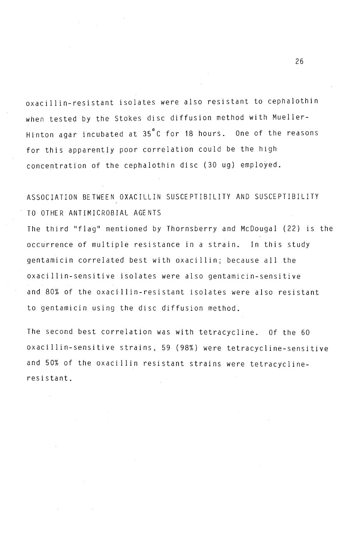oxacillin-resistant isolates were also resistant to cephalothin when tested by the Stokes disc diffusion method with Mueller-Hinton agar incubated at 35°C for 18 hours. One of the reasons for this apparently poor correlation could be the high concentration of the cephalothin disc (30 ug) employed.

# ASSOCIATION BETWEEN OXACILLIN SUSCEPTIBILITY AND SUSCEPTIBILITY TO OTHER ANTIMICROBIAL AGENTS

The third "flag" mentioned by Thornsberry and McDougal (22) is the occurrence of multiple resistance in a strain. In this study gentamicin correlated best with oxacillin; because all the oxacillin-sensitive isolates were also gentamicin-sensitive and 80% of the oxacillin-resistant isolates were also resistant to gentamicin using the disc diffusion method.

The second best correlation was with tetracycline. Of the 60 oxacillin-sensitive strains, 59 (98%) were tetracycline-sensitive and 50% of the oxacillin resistant strains were tetracyclineresistant.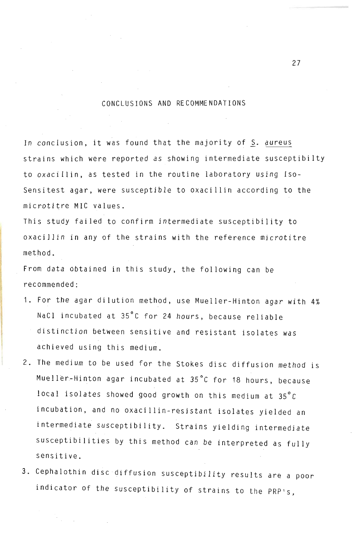### CONCLUSIONS AND RECOMMENDATIONS

In conclusion, it was found that the majority of  $\mathcal{L}$  ,  $\mathcal{L}$  ,  $\mathcal{L}$  ,  $\mathcal{L}$  ,  $\mathcal{L}$  ,  $\mathcal{L}$  ,  $\mathcal{L}$  ,  $\mathcal{L}$  ,  $\mathcal{L}$  ,  $\mathcal{L}$  ,  $\mathcal{L}$  ,  $\mathcal{L}$  ,  $\mathcal{L}$  ,  $\mathcal{L}$  ,  $\mathcal{L}$  ,  $\mathcal{L}$ 

In conclusion, it was found that the majority of S. aureus strains which were reported as showing intermediate susceptibilty to oxacillin, as tested in the routine laboratory using Iso-Sensitest agar, were susceptible to oxacillin according to the<br>microtitre MIC values.  $T_{\text{total}}$  is study failed to confirm intermediate susceptibility to confirm intermediate susceptibility to confirm  $T_{\text{total}}$ 

This study failed to confirm intermediate susceptibility to<br>oxacillin in any of the strains with the reference microtitre  $\mathbf{F}_{\mathbf{r}}$ 

From data obtained in this study, the following can be recommended:  $1.6$  For the agar distribution method, use  $1.4$  Mueller-Hinton agar with  $4.4$  Mueller-Hinton agar with 4%  $\mu$ 

- end agai difuction mechod, use nueffer-fillicon agai wi NaCl incubated at 35°C for 24 hours, because reliable distinction between sensitive and resistant isolates was<br>achieved using this medium. 2. The medium to be used for the Stockes disc diffusion method is a stocker of the Stockes disc diffusion method is a stocker of the Stocker of the Stocker of the Stocker of the Stocker of the Stocker of the Stocker of the
- $\sim$  musical against and strated at 3SOC for 18 hours, and 19 hours, because at 3S hours, because and 18 hours, because and 18 hours, because and 18 hours, because and 19 hours, because and 19 hours, and 19 hours, and 19 h Mueller-Hinton agar incubated at 35°C for 18 hours, because local isolates showed good growth on this medium at 35°C incubation, and no oxacillin-resistant isolates yielded an intermediate susceptibility. Strains yielding intermediate susceptibilities by this method can be interpreted as fully sensitive. 3. Cephalothin disc diffusion susceptibility results are a poor
- indicate the susceptibility results are a poor susceptibility of strains are a poor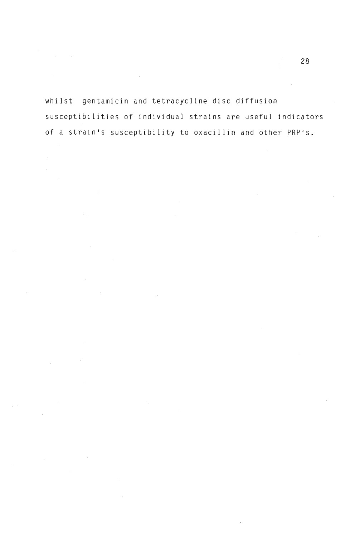whilst gentamicin and tetracycline disc diffusion susceptibilities of individual strains are useful indicators of a strain's susceptibility to oxacillin and other PRP's.

 $\mathcal{L}$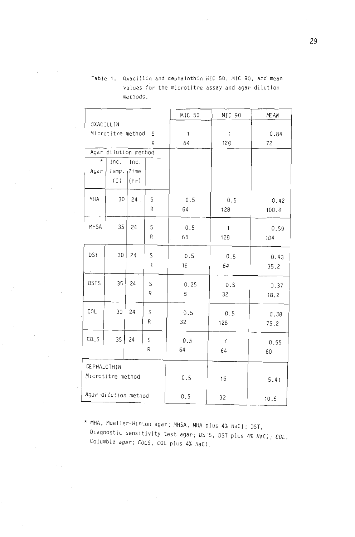|                      |                      |          |   | MIC 50       | MIC 90       | ME AN |  |
|----------------------|----------------------|----------|---|--------------|--------------|-------|--|
|                      | OXACILLIN            |          |   |              |              |       |  |
|                      | Microtitre method    |          | S | $\mathbf{1}$ | $\mathbf{1}$ | 0.84  |  |
|                      |                      |          | R | 64           | 128          | 72    |  |
|                      | Agar dilution method |          |   |              |              |       |  |
| $\star$              | Inc.                 | Inc.     |   |              |              |       |  |
| Agar                 | Temp.                | Time     |   |              |              |       |  |
|                      | (C)                  | $ $ (hr) |   |              |              |       |  |
|                      |                      |          |   |              |              |       |  |
| MHA                  | 30                   | 24       | S | 0.5          | 0.5          | 0.42  |  |
|                      |                      |          | R | 64           | 128          | 100.8 |  |
| MHSA                 | 35                   | 24       |   |              |              |       |  |
|                      |                      |          | S | 0.5          | $\mathbf{1}$ | 0.59  |  |
|                      |                      |          | R | 64           | 128          | 104   |  |
| DST                  | 30                   | 24       | S | 0.5          | 0.5          |       |  |
|                      |                      |          | R | 16           | 64           | 0.43  |  |
|                      |                      |          |   |              |              | 35.2  |  |
| DSTS                 | 35                   | 24       | S | 0.25         | 0.5          | 0.37  |  |
|                      |                      |          | R | 8            | 32           | 18.2  |  |
|                      |                      |          |   |              |              |       |  |
| COL                  | 30                   | 24       | S | 0.5          | 0.5          | 0.38  |  |
|                      |                      |          | R | 32           | 128          | 75.2  |  |
|                      |                      |          |   |              |              |       |  |
| COLS                 | 35                   | 24       | S | 0.5          | $\mathbf{1}$ | 0.55  |  |
|                      |                      |          | R | 64           | 64           | 60    |  |
|                      |                      |          |   |              |              |       |  |
| CE PHALOTHIN         |                      |          |   |              |              |       |  |
|                      | Microtitre method    |          |   | 0.5          | 16           | 5.41  |  |
|                      |                      |          |   |              |              |       |  |
| Agar dilution method |                      |          |   | 0.5          | 32           | 10.5  |  |

Table 1. Oxacillin and cephalothin includes  $\mathcal{L}^{\mathcal{L}}$  50, Mle 90, and means  $\mathcal{L}^{\mathcal{L}}$ vacilitin and cephatothin microsof, microsof, and mean  $\bar{z}$ values for the microtitre assay and agar dilution<br>methods.

 $MHA$ ,  $M_{1/2}$ , M<sub>H</sub><sub>S</sub> ostic sensitivity agar; MHSA, MHA plus 4% NaCl; DST, Diagnostic sensitivity test agar; DSTS, DST plus 4% NaCl; COL, Columbia agar; COLS, COL plus 4% NaCl.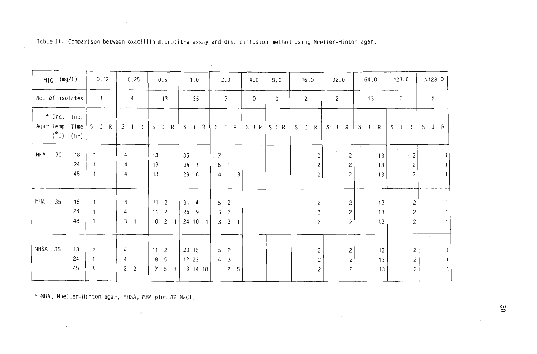Table II. Comparison between oxacillin microtitre assay and disc diffusion method using Mueller-Hinton agar.

| $MIC$ (mg/1)                                                    | 0.12                         | 0.25                                     | 0.5                                                                        | 1.0                                               | 2.0                                             | 4.0 | 8.0          | 16.0                                         | 32.0                                           | 64.0           | 128.0                             | >128.0                 |
|-----------------------------------------------------------------|------------------------------|------------------------------------------|----------------------------------------------------------------------------|---------------------------------------------------|-------------------------------------------------|-----|--------------|----------------------------------------------|------------------------------------------------|----------------|-----------------------------------|------------------------|
| No. of isolates                                                 | $\overline{\phantom{a}}$     | 4                                        | 13                                                                         | 35                                                | $7\overline{ }$                                 | 0   | $\mathsf{O}$ | $\mathbf{2}$                                 | $\mathbf{2}$                                   | 13             | $\mathbf{2}$                      | $\mathbf{1}$           |
| $\star$ Inc. Inc.<br>Agar Temp<br>Time<br>$(^{\circ}C)$<br>(hr) | S I R                        | S I R                                    | $\mathsf{R}$<br>$S \quad I$                                                | $S \quad I \quad R$                               | S I R                                           |     | $SIR$ $SIR$  | S I R                                        | $S \cap I \cap R$                              | S I R          | $S$ I<br>R                        | R<br>S<br>$\mathbf{I}$ |
| 30<br>MHA<br>18<br>24<br>48                                     |                              | 4<br>4<br>4                              | 13<br>13<br>13                                                             | 35<br>34<br>$\overline{\phantom{a}}$<br>29<br>- 6 | $\overline{7}$<br>6<br>$\overline{1}$<br>3<br>4 |     |              | 2<br>$\overline{c}$<br>2                     | $\mathbf{2}$<br>$\mathbf{2}$<br>$\overline{c}$ | 13<br>13<br>13 | $\mathbf{2}$<br>$\mathbf{2}$<br>2 |                        |
| 35<br>MHA<br>18<br>24<br>48                                     | $\mathbf{1}$<br>$\mathbf{1}$ | 4<br>4<br>3 <sub>1</sub>                 | 11 <sub>2</sub><br>11 <sub>2</sub><br>10<br>$\overline{c}$<br>$\mathbf{1}$ | 31<br>$\overline{4}$<br>26<br>- 9<br>24 10<br>1   | 5<br>2<br>2<br>5.<br>3<br>3 <sub>1</sub>        |     |              | $\mathbf{2}$<br>$\overline{c}$<br>2          | $\mathbf{2}$<br>$\mathbf{2}$<br>2              | 13<br>13<br>13 | 2<br>2<br>2                       |                        |
| MHSA 35<br>18<br>24<br>48                                       | $\mathbf{1}$                 | 4<br>4<br>$\mathbf{2}$<br>$\overline{c}$ | 11 <sup>2</sup><br>8 5<br>7 <sub>5</sub>                                   | 20 15<br>12 23<br>3 14 18                         | 5<br>2<br>4<br>3<br>2 <sub>5</sub>              |     |              | $\mathbf{2}$<br>$\mathbf{2}$<br>$\mathsf{S}$ | $\overline{c}$<br>$\mathbf{2}$<br>$\mathbf{2}$ | 13<br>13<br>13 | 2<br>$\mathbf{2}$<br>2            |                        |

\* MHA, Mueller-Hinton agar; MHSA, MHA plus 4% NaCl.

 $\approx$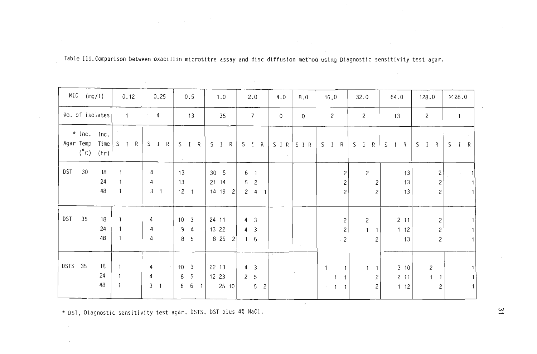|           | $MIC$ (mg/1)  |                       | 0.12                            | 0.25                                  | 0.5                               | 1.0                                | 2.0                                        | 4.0          | $8.0\,$     | 16.0                                     | 32.0                             | 64.0             | 128.0                                        | 2128.0            |
|-----------|---------------|-----------------------|---------------------------------|---------------------------------------|-----------------------------------|------------------------------------|--------------------------------------------|--------------|-------------|------------------------------------------|----------------------------------|------------------|----------------------------------------------|-------------------|
|           |               | No. of isolates       | $\mathbf{1}$                    | 4<br>$\sim$                           | 13                                | 35                                 | $7\overline{ }$                            | $\mathsf{O}$ | 0           | $\mathbf{2}$                             | $\overline{c}$                   | 13               | 2                                            | $\overline{1}$    |
| Agar Temp | $(^{\circ}C)$ | $*$ Inc. Inc.<br>(hr) | $Time \,   \, S \, I \, R \,  $ | R<br>$S$ I                            | $\mathsf{R}$<br>S<br>$\mathbf{I}$ | S I R                              | $S \quad I \quad R$                        |              | $SIR$ $SIR$ | S I R                                    | $I \t R$<br>$\mathsf{S}$         | $S \quad I$<br>R | $\mathsf{R}$<br>$S$ I                        | $\mathsf{S}$<br>R |
| DST       | 30            | 18                    |                                 | 4                                     | 13                                | 30<br>- 5                          | 6<br>$\ddot{\phantom{1}}$                  |              |             | $\sqrt{2}$                               | $\overline{c}$                   | 13               | $\mathbf{2}$                                 |                   |
|           |               | 24<br>48              |                                 | 4<br>$\mathfrak{Z}$<br>$\overline{1}$ | 13<br>$12 \quad 1$                | 21 14<br>14 19<br>2                | 5 <sub>2</sub><br>$2 4 1$                  |              |             | $\mathbf{2}$<br>$\overline{c}$           | $\overline{c}$<br>$\overline{c}$ | 13<br>13         | 2<br>$\overline{c}$                          |                   |
| DST       | 35            | 18                    |                                 | 4                                     | $10 \quad 3$                      | 24 11                              | $4 \quad 3$                                |              |             | $\mathbf{2}$                             | $\overline{2}$                   | $2$ 11           | $\overline{c}$                               |                   |
|           |               | 24<br>48              |                                 | 4<br>4                                | 9<br>$\overline{a}$<br>8 5        | 13 22<br>8 2 5<br>$\left  \right $ | $4 \quad 3$<br>$1\quad 6$                  |              | $\sim$      | $\mathbf{2}$<br>$\cdot$ 2                | $\mathbf{1}$<br>2                | 112<br>13        | $\overline{c}$<br>$\overline{c}$             |                   |
| DSTS 35   |               | 18                    |                                 | $\sqrt{4}$                            | $10 \quad 3$                      | 22 13                              | $4 \quad 3$                                | $\sim$       |             | $\overline{\phantom{a}}$<br>$\mathbf{1}$ | $\mathbf{1}$                     | 310              | $\mathbf{2}$                                 |                   |
|           |               | 24<br>48              |                                 | 4<br>$\mathfrak{Z}$<br>$\overline{1}$ | 8<br>-5<br>6<br>6<br>$\mathbf{1}$ | 12 23<br>$25 \t10$                 | $\overline{2}$<br>5<br>5<br>$\overline{c}$ |              |             | $\mathbf{1}$<br>$\overline{1}$<br>$\sim$ | $\overline{c}$<br>$\overline{c}$ | $2 \t11$<br>112  | $\mathbf{1}$<br>$\mathbf{1}$<br>$\mathbf{2}$ |                   |

Table III.Comparison between 'oxacillin microtitre assay and disc diffusion method using Diagnostic sensitivity test agar.

\* D5T, Diagnostic sensitivity test agar; D5T5, D5T plus 4% NaCI. w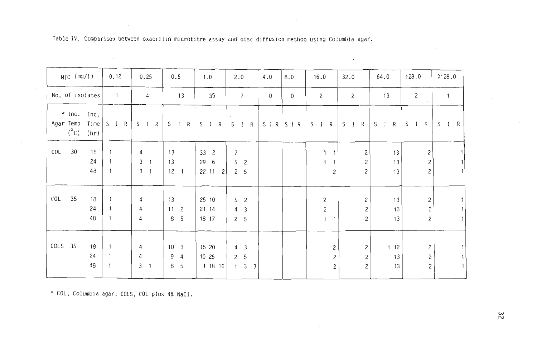| MIC (mg/l)                                                  | 0.12                           | 0.25                                                            | 0.5                                            | 1.0                                                   | 2.0                                                                                    | 4.0         | 8.0         | 16.0                                                             | 32.0                                                            | 64.0                 | 128.0                                                        | >128.0       |
|-------------------------------------------------------------|--------------------------------|-----------------------------------------------------------------|------------------------------------------------|-------------------------------------------------------|----------------------------------------------------------------------------------------|-------------|-------------|------------------------------------------------------------------|-----------------------------------------------------------------|----------------------|--------------------------------------------------------------|--------------|
| No. of isolates                                             | $\overline{1}$                 | 4                                                               | 13                                             | 35                                                    | $\overline{7}$                                                                         | $\mathbf 0$ | $\mathbf 0$ | $\overline{c}$                                                   | 2                                                               | $\frac{13}{2}$       | $\overline{c}$                                               | $\mathbf{1}$ |
| $*$ Inc. Inc.<br>Agar Temp Time<br>$(^\circ \circ)$<br>(hr) | S I R                          | $S \quad I$<br>R                                                | $\mathsf{R}$<br>$S \quad I$<br>$\sim 10^{-11}$ | S I R                                                 | S I R                                                                                  |             | S I R S I R | S I R                                                            | R<br>$S \quad I$                                                | S<br>$I \t R$        | $S \quad I$<br>R                                             | S I R        |
| COL<br>30<br>18<br>24<br>48                                 |                                | 4<br>$\mathbf{3}$<br>$\overline{\phantom{0}}$<br>3 <sub>1</sub> | 13<br>13<br>$12 \quad 1$                       | 33 <sup>2</sup><br>29<br>6<br>22 11<br>$\overline{c}$ | $\overline{7}$<br>5<br>$\overline{c}$<br>$\mathsf{2}$<br>5                             |             |             | $\mathbf{1}$<br>1<br>$\mathbf{1}$<br>$\overline{c}$              | $\mathbf{2}$<br>$\mathbf{2}$<br>2                               | 13<br>13<br>13       | $\mathbf{2}$<br>$\mathbf{2}$<br>$\left\lceil 2 \right\rceil$ | $\sim$       |
| COL<br>35<br>18<br>24<br>48                                 | $\ddot{\phantom{1}}$<br>1      | 4<br>4<br>4                                                     | 13<br>11 <sub>2</sub><br>8 5                   | 25 10<br>21 14<br>18 17                               | 5<br>$\overline{c}$<br>4<br>$\mathfrak{Z}$<br>$\mathsf{2}$<br>5                        |             |             | $\overline{c}$<br>$\mathbf{2}$<br>$\overline{1}$<br>$\mathbf{1}$ | $\overline{c}$<br>$\sim$ $\sim$<br>$\mathbf{2}$<br>$\mathbf{Z}$ | 13<br>13<br>13       | $\mathsf{S}$<br>$\mathsf{S}$<br>$\mathbf{2}$                 |              |
| COLS 35<br>18<br>24<br>48                                   | $\overline{1}$<br>$\mathbf{1}$ | 4<br>$\overline{4}$<br>$\mathfrak{Z}$<br>$\overline{1}$         | $10 \t 3$<br>$9\quad 4$<br>8 5                 | 15 20<br>10 25<br>1 18 16                             | 4<br>$\mathbf{3}$<br>$5\overline{)}$<br>$\mathsf{2}$<br>3 <sup>3</sup><br>$\mathbf{1}$ |             |             | $\mathbf{2}$<br>$\mathbf{2}$<br>$\overline{c}$                   | 2<br>$\overline{c}$<br>$\mathbf{2}$                             | $1 \t12$<br>13<br>13 | $\overline{c}$<br>$\mathbf{2}$<br>$\mathbf{2}$               |              |

Table IV. Comparison between oxacillin microtitre assay and disc diffusion method using Columbia agar.

\* COL, Columbia agar; COLS, COL plus 4% NaCl.

بب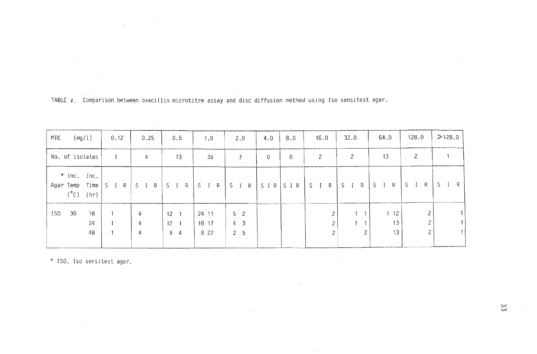| MIC |                                       | (mg/l)         | 0.12   | 0.25        | 0.5                                    | 1.0                    | $\cdot$ 2.0                             | 4.0      | 8.0         | 16.0       | 32.0                  | 64.0                 | 128.0                    | >128.0 |
|-----|---------------------------------------|----------------|--------|-------------|----------------------------------------|------------------------|-----------------------------------------|----------|-------------|------------|-----------------------|----------------------|--------------------------|--------|
|     | No. of isolates                       |                |        | 4           | 13<br>$\sim$                           | 35                     | 7                                       | $\Omega$ | 0           | 2          | 2                     | 13                   | 2                        |        |
|     | * Inc. Inc.<br>Agar Temp Time<br>(°C) | (hr)           | S<br>R | $S$ I<br>R  | R<br>S I                               | $S$ I<br>R             | S I R                                   |          | S I R S I R | $S$ I<br>R | $\mathsf{R}$<br>$S$ I | R<br>S               | S I<br>R                 | SIR    |
| ISO | 30                                    | 18<br>24<br>48 |        | 4<br>4<br>4 | $12 \t1$<br>$12 \quad 1$<br>$9\quad 4$ | 24 11<br>18 17<br>8 27 | 5 <sub>2</sub><br>4 3<br>2 <sub>5</sub> |          |             |            |                       | $1 \t12$<br>13<br>13 | 2<br>2<br>$\overline{c}$ |        |

TABLE V. Comparison between oxacillin microtitre assay and disc diffusion method using Iso sensitest agar.

\* ISO, Iso sensitest agar.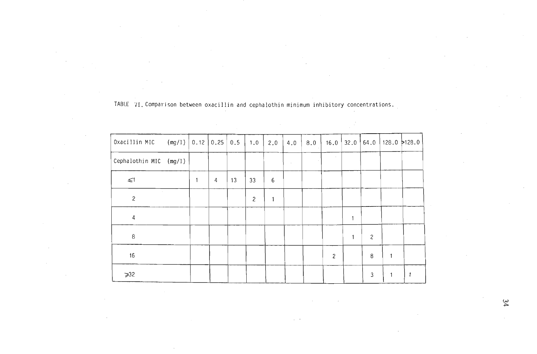|                          |        |              | and the company of | $\sim$ |                |     |         |     |                |      |                |                |  |
|--------------------------|--------|--------------|--------------------|--------|----------------|-----|---------|-----|----------------|------|----------------|----------------|--|
| Oxacillin MIC            | (mg/l) | 0.12         | 0.25               | 0.5    | 1.0            | 2.0 | $4.0\,$ | 8.0 | 16.0           | 32.0 | 64.0           | 128.0 2128.0   |  |
| Cephalothin MIC (mg/l)   |        |              |                    |        |                |     |         |     |                |      |                |                |  |
| $\leq 1$                 |        | $\mathbf{1}$ | 4                  | 13     | 33             | 6   |         |     |                |      |                |                |  |
| $\sim$<br>$\overline{c}$ |        |              |                    |        | $\overline{c}$ | 1   |         |     |                |      |                |                |  |
| 4                        |        |              |                    |        |                |     |         |     |                | 1    |                |                |  |
| 8                        |        |              |                    |        |                |     |         |     |                | 1    | $\overline{c}$ |                |  |
| 16                       |        |              |                    |        |                |     |         |     | $\overline{c}$ |      | 8              | $\overline{1}$ |  |
| $\geqslant$ 32           |        |              |                    |        |                |     |         |     |                |      | 3              |                |  |

 $\sim$   $\sigma$ 

TABLE  $\forall i$ , Comparison between oxacillin and cephalothin minimum inhibitory concentrations.

 $\sim$ 

 $\sim$ 

 $y$ c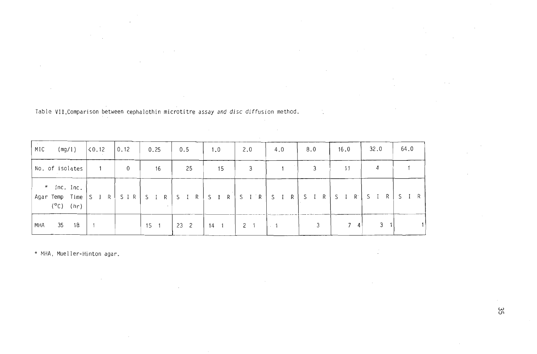| MIC | (mg/l)                                                         | $\vert$ < 0.12 | 0.12 | 0.25        | 0.5             | 1.0 | 2.0         | 4.0                         | 8.0             | 16.0                | 32.0     | 64.0 |
|-----|----------------------------------------------------------------|----------------|------|-------------|-----------------|-----|-------------|-----------------------------|-----------------|---------------------|----------|------|
|     | No. of isolates                                                | 1              | 0    | 16          | 25              | 15  | 3           |                             | 3               | 11                  | 4        |      |
|     | $\star$ Inc. Inc.<br>Agar Temp Time  <br>$(^{\circ}C)$<br>(hr) | $S \cap R$     |      | SIR SIR SIR |                 |     |             |                             | SIR SIR SIR SIR | $S \quad I \quad R$ | R<br>- S |      |
| MHA | 35<br>18                                                       |                |      | 15          | 23 <sup>2</sup> | 14  | $2 \quad 1$ | $\sim$ $\sim$ $\sim$ $\sim$ |                 |                     | 3        |      |

Table VII. Comparison between cephalothin microtitre assay and disc diffusion method.

 $\sim$ 

 $\sim$ 

 $\sim$ 

 $\sim$ 

 $\mathcal{F}^{\text{max}}_{\text{max}}$ 

 $\sim$ 

\* MHA, Mueller-Hinton agar.

 $\frac{1}{2} \sum_{i=1}^n \frac{1}{i!}$ 

 $\mathcal{L}$ 

 $\sim 10^{-1}$ 

 $\sim 10^{-1}$ 

 $\mathcal{L}^{\text{max}}_{\text{max}}$  ,  $\mathcal{L}^{\text{max}}_{\text{max}}$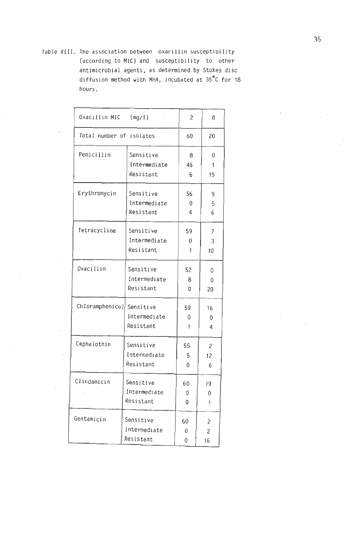Table VIII. The association between oxacillin susceptibility (according to MIC) and susceptibility to other antimicrobial agents, as determined by Stokes disc diffusion method with MHA, incubated at 35°C for 18 hours.

| Oxacillin MIC            | (mg/I)       | 2  | 8  |
|--------------------------|--------------|----|----|
| Total number of isolates |              | 60 | 20 |
| Penicillin               | Sensitive    | 8  | 0  |
|                          | Intermediate | 46 | 1  |
|                          | Resistant    | 6  | 19 |
| Erythromycin             | Sensitive    | 56 | 9  |
|                          | Intermediate | 0  | 5  |
|                          | Resistant    | 4  | 6  |
| Tetracycline             | Sensitive    | 59 | 7  |
|                          | Intermediate | 0  | 3  |
|                          | Resistant    | 1  | 10 |
| Oxacillin                | Sensitive    | 52 | 0  |
|                          | Intermediate | 8  | 0  |
|                          | Resistant    | 0  | 20 |
| Chloramphenicol          | Sensitive    | 59 | 16 |
|                          | Intermediate | 0  | 0  |
|                          | Resistant    | 1  | 4  |
| Cephalothin              | Sensitive    | 55 | 2  |
|                          | Intermediate | 5  | 12 |
|                          | Resistant    | 0  | 6  |
| Clindamicin              | Sensitive    | 60 | 19 |
|                          | Intermediate | 0  | 0  |
|                          | Resistant    | 0  | 1  |
| Gentamicin               | Sensitive    | 60 | 2  |
|                          | Intermediate | 0  | 2  |
|                          | Resistant    | 0  | 16 |
|                          |              |    |    |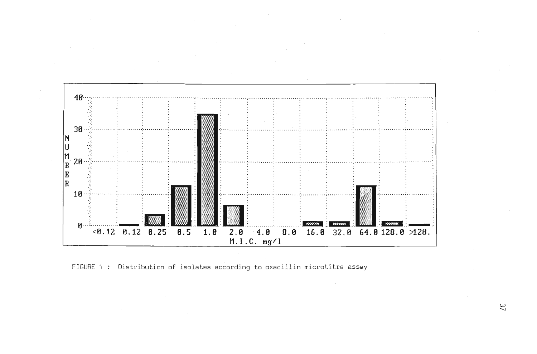

FIGURE 1 : Distribution of isolates according to oxacillin microtitre assay

 $\mathfrak{L}$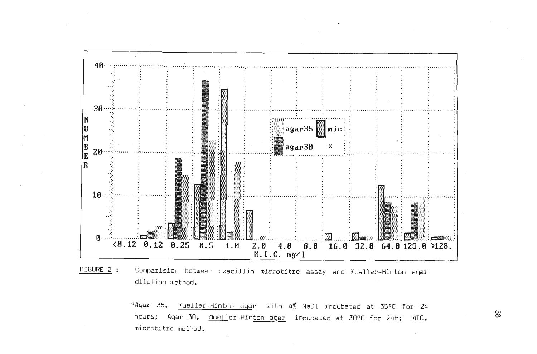

FIGURE 2 : Comparision between oxacillin microtitre assay and Mueller-Hinton agar dilution method.

\*Agar 35, Mueller-Hinton agar with 4% NaCI incubated at 35°C for 24 hours; Agar 30, Mueller-Hinton agar incubated at 30°C for 24h; MIC, microtitre method.

ထိ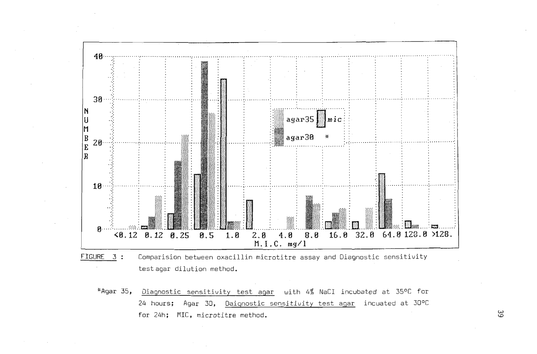

- FIGURE 3 : Comparision between oxacillin microtitre assay and Diagnostic sensitivity testagar dilution method.
	- \*Agar 35, Diagnostic sensitivity test agar with 4% NaCI incubated at 35°C for 24 hours; Agar 30, Daignostic sensitivity test agar incuated at 30°C for 24h; MIC, microtitre method.

ယ္က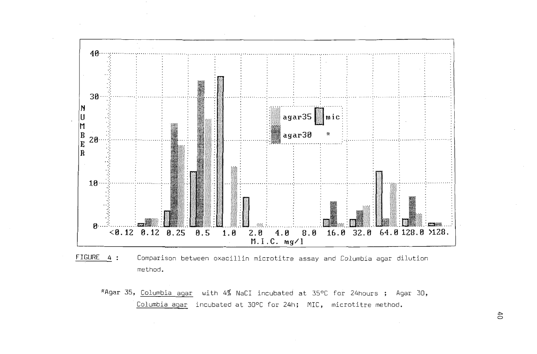

- FIGURE 4 : Comparison between oxacillin microtitre assay and Columbia agar dilution method.
	- \*Agar 35, Columbia agar with 4% NaCI incubated at 35°C for 24hours; Agar 30, Columbia agar incubated at 30°C for 24h; MIC, microtitre method.

 $f$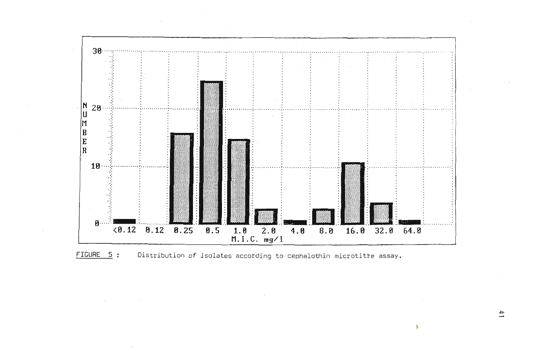

FIGURE 5: Distribution of isolates according to cephalothin microtitre assay.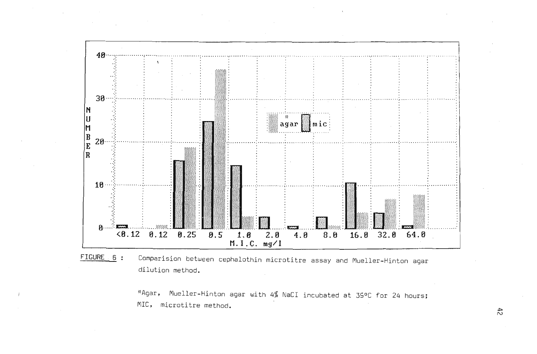

FIGURE 6: Comparision between cephalothin microtitre assay and Mueller-Hinton agar dilution method.

\*Agar, Mueller-Hinton agar with 4% NaCI incubated at 39°C for 24 hours; MIC, microtitre method.

 $7<sup>2</sup>$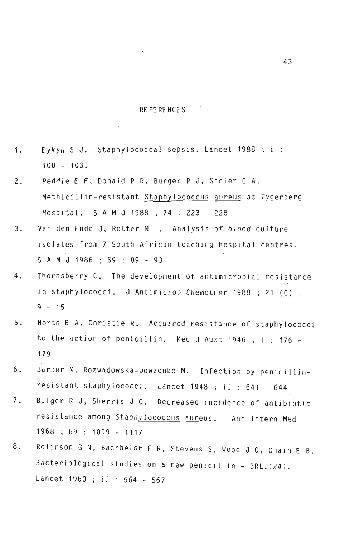### RE FE RE NCE S

- 1. Eykyn S J. Staphylococcal sepsis. Lancet 1988 ; i :  $100 - 103$ .
- 2. Peddie E F, Donald P R, Burger P J, Sadler C A. Methicillin-resistant Staphylococcus aureus at Tygerberg Hospital. SAM J 1988 ; 74 : 223 - 228
- 3. Van den Ende J, Rotter M L. Analysis of blood culture isolates from 7 South African teaching hospital centres. SAM J 1986 ; 69 : 89 - 93
- 4. Thornsberry C. The development of antimicrobial resistance in staphylococci. J Antimicrob Chemother 1988 ; 21 (C) :  $9 - 15$
- 5. North E A, Christie R. Acquired resistance of staphylococci to the action of penicillin. Med J Aust 1946 ; 1 : 176 - 179
- 6. Barber M, Rozwadowska-Dowzenko M. Infection by penicillinresistant staphylococci. Lancet 1948 ; ii : 641 - 644
- 7. Bulger R J, Sherris J C. Decreased incidence of antibiotic resistance among Staphylococcus aureus. Ann Intern Med 1968 ; 69 : 1099 - 1117
- 8. Rolinson G N, Batchelor F R, Stevens S, Wood J C, Chain E B. Bacteriological studies on a new penicillin - BRL.1241. Lancet 1960 ; ii : 564 - 567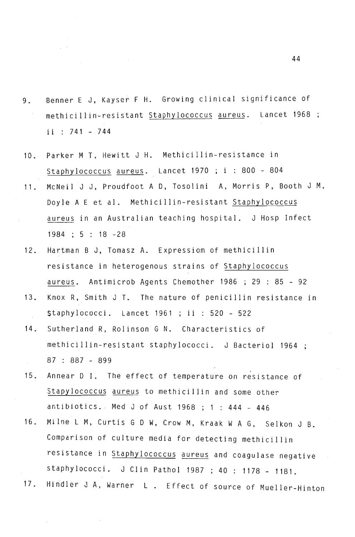- Benner E J, Kayser F H. Growing clinical significance of  $9.$ methicillin-resistant Staphylococcus aureus. Lancet 1968 ;  $ii : 741 - 744$
- Parker M T. Hewitt J H. Methicillin-resistance in  $10<sub>1</sub>$ Staphylococcus aureus. Lancet 1970 ; i : 800 - 804
- McNeil J J, Proudfoot A D, Tosolini A, Morris P, Booth J M,  $11.$ Doyle A E et al. Methicillin-resistant Staphylococcus aureus in an Australian teaching hospital. J Hosp Infect  $1984$ ;  $5$ :  $18 - 28$
- Hartman B J, Tomasz A. Expressiom of methicillin  $12.$ resistance in heterogenous strains of Staphylococcus aureus. Antimicrob Agents Chemother 1986 ; 29 : 85 - 92
- Knox R, Smith J T. The nature of penicillin resistance in  $13.$ \$taphylococci. Lancet 1961 ; ii : 520 - 522
- $14.$ Sutherland R, Rolinson G N. Characteristics of methicillin-resistant staphylococci. J Bacteriol 1964 ; 15. Annear D I. The effect of temperature on resistance of
- 15. Annear D I. The effect of temperature on resistance of Stapylococcus aureus to methicillin and some other antibiotics. Med J of Aust 1968 ; 1 : 444 - 446
- Milne L M, Curtis G D W, Crow M, Kraak W A G, Selkon J B.  $16.$ Comparison of culture media for detecting methicillin resistance in Staphylococcus aureus and coagulase negative staphylococci. J Clin Pathol 1987 ; 40 : 1178 - 1181.<br>17. Hindler J A, Warner L . Effect of source of Mueller-Hinton
-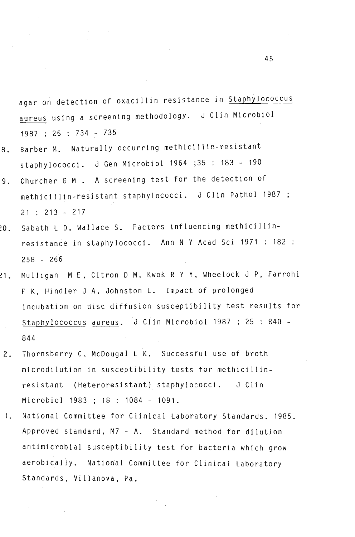agar on detection of oxacilin resistance in  $\mathcal{A}_\mathcal{A}$  resistance in Staphylococcus aureus using a screening methodology. J Clin Microbiology. J Clin Microbiology. J Clin Microbiology. aureus using a screening methodology. J Clin Microbiol<br>1987 ; 25 : 734 - 735

- Barber M. Naturally occurring methicillin-resistant 8. stam. Hubertary stations staphy fococci. G den merobior for the detection of
- Churcher G M . A screening test for the detection of  $9.$ methicillin-resistant staphylococci. J Clin Pathol 1987 ;<br>21 : 213 - 217
- Sabath L D, Wallace S. Factors influencing methicillin- $.0.$ resistence in state in the state of the state of the state of the state of the state of the state of the state of the state of the state of the state of the state of the state of the state of the state of the state of the 258 - 266 ~1. Mulligan M E, Citron D M, Kwok R Y Y, Wheelock J P, Farrohi
- $21.$  $\mathbf{f}$  is  $\mathbf{f}$ ,  $\mathbf{f}$ ,  $\mathbf{f}$ ,  $\mathbf{f}$  and probability  $\mathbf{f}$ F K. Hindler J A, Johnston L. Impact of prolonged incubation on disc diffusion susceptibility test results for Staphylococcus aureus. J Clin Microbiol 1987 ; 25 : 840 -844
- 2. Thornsberry C, McDougal L K. Successful use of broth Thornsberry C, McDougal L K. Successful use of broth  $2.$ microdilution in susceptibility tests for methicillin-<br>resistant (Heteroresistant) staphylococci. J Clin J Clin  $\sum_{i=1}^{n}$ ~. National Committee for Clinica l Laboratory Standards. 1985.
- National Committee for Clinical Laboratory Standards. 1985.  $\mathcal{L}$ Approved standard, M7 - A. Standard method for dilution antimicrobial susceptibility test for bacteria which grow aerobically. National Committee for Clinical Laboratory<br>Standards, Villanova, Pa.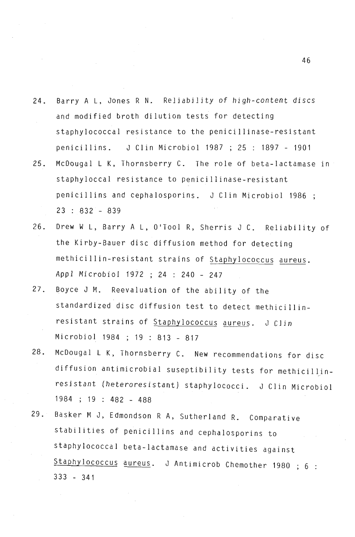- 24. Barry A L, Jones R N. Reliability of high-content discs and modified broth dilution tests for detecting staphylococcal resistance to the penicillinase-resistant penicillins. J Clin Microbiol 1987 ; 25 : 1897 - 1901
- 25. McDougal L K, Thornsberry C. The role of beta-lactamase in staphyloccal resistance to penicillinase-resistant penicillins and cephalosporins. J Clin Microbiol 1986 23 : 832 - 839
- 26. Drew W L, Barry A L, O'Tool R, Sherris J C. Reliability of the Kirby-Bauer disc diffusion method for detecting methicillin-resistant strains of Staphylococcus aureus. Appl Microbiol 1972 ; 24 : 240 - 247
- 27. Boyce J M. Reevaluation of the ability of the standardized disc diffusion test to detect methicillinresistant strains of Staphylococcus aureus. J Clin Microbiol 1984 ; 19 : 813 - 817
- 28. McDougal L K, Thornsberry C. New recommendations for disc diffusion antimicrobial suseptibility tests for methicillinresistant (heteroresistant) staphylococci. J Clin Microbiol 1984 ; 19 : 482 - 488
- 29. Basker M J, Edmondson R A, Sutherland R. Comparative stabilities of penicillins and cephalosporins to staphylococcal beta-Iactamase and activities against Staphylococcus aureus. J Antimicrob Chemother 1980 ; 6 : 333 - 341